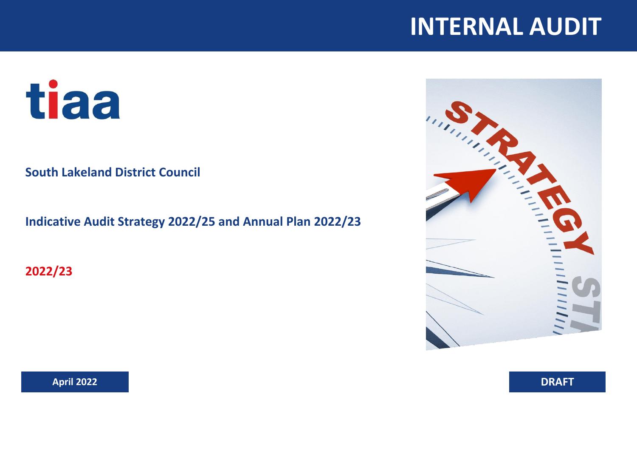## **INTERNAL AUDIT**

# tiaa

## **South Lakeland District Council**

**Indicative Audit Strategy 2022/25 and Annual Plan 2022/23**

**2022/23**



**April 2022 DRAFT**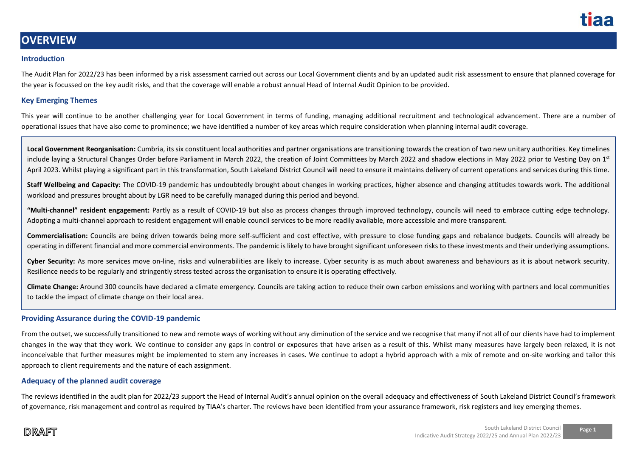

## **OVERVIEW**

#### **Introduction**

The Audit Plan for 2022/23 has been informed by a risk assessment carried out across our Local Government clients and by an updated audit risk assessment to ensure that planned coverage for the year is focussed on the key audit risks, and that the coverage will enable a robust annual Head of Internal Audit Opinion to be provided.

#### **Key Emerging Themes**

This year will continue to be another challenging year for Local Government in terms of funding, managing additional recruitment and technological advancement. There are a number of operational issues that have also come to prominence; we have identified a number of key areas which require consideration when planning internal audit coverage.

**Local Government Reorganisation:** Cumbria, its six constituent local authorities and partner organisations are transitioning towards the creation of two new unitary authorities. Key timelines include laying a Structural Changes Order before Parliament in March 2022, the creation of Joint Committees by March 2022 and shadow elections in May 2022 prior to Vesting Day on 1st April 2023. Whilst playing a significant part in this transformation, South Lakeland District Council will need to ensure it maintains delivery of current operations and services during this time.

**Staff Wellbeing and Capacity:** The COVID-19 pandemic has undoubtedly brought about changes in working practices, higher absence and changing attitudes towards work. The additional workload and pressures brought about by LGR need to be carefully managed during this period and beyond.

**"Multi-channel" resident engagement:** Partly as a result of COVID-19 but also as process changes through improved technology, councils will need to embrace cutting edge technology. Adopting a multi-channel approach to resident engagement will enable council services to be more readily available, more accessible and more transparent.

**Commercialisation:** Councils are being driven towards being more self-sufficient and cost effective, with pressure to close funding gaps and rebalance budgets. Councils will already be operating in different financial and more commercial environments. The pandemic is likely to have brought significant unforeseen risks to these investments and their underlying assumptions.

**Cyber Security:** As more services move on-line, risks and vulnerabilities are likely to increase. Cyber security is as much about awareness and behaviours as it is about network security. Resilience needs to be regularly and stringently stress tested across the organisation to ensure it is operating effectively.

**Climate Change:** Around 300 councils have declared a climate emergency. Councils are taking action to reduce their own carbon emissions and working with partners and local communities to tackle the impact of climate change on their local area.

#### **Providing Assurance during the COVID-19 pandemic**

From the outset, we successfully transitioned to new and remote ways of working without any diminution of the service and we recognise that many if not all of our clients have had to implement changes in the way that they work. We continue to consider any gaps in control or exposures that have arisen as a result of this. Whilst many measures have largely been relaxed, it is not inconceivable that further measures might be implemented to stem any increases in cases. We continue to adopt a hybrid approach with a mix of remote and on-site working and tailor this approach to client requirements and the nature of each assignment.

#### **Adequacy of the planned audit coverage**

The reviews identified in the audit plan for 2022/23 support the Head of Internal Audit's annual opinion on the overall adequacy and effectiveness of South Lakeland District Council's framework of governance, risk management and control as required by TIAA's charter. The reviews have been identified from your assurance framework, risk registers and key emerging themes.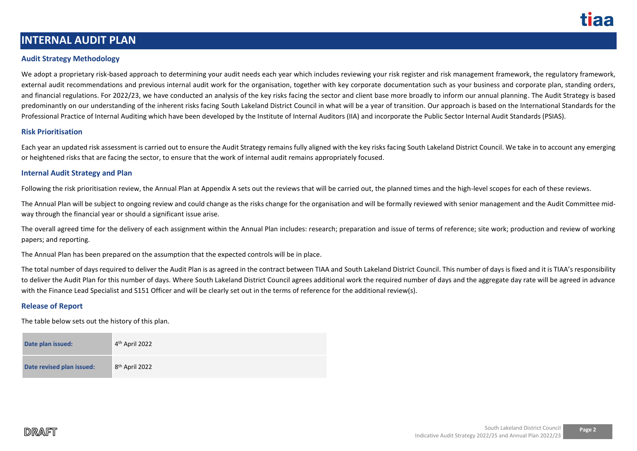

## **INTERNAL AUDIT PLAN**

#### **Audit Strategy Methodology**

We adopt a proprietary risk-based approach to determining your audit needs each year which includes reviewing your risk register and risk management framework, the regulatory framework, external audit recommendations and previous internal audit work for the organisation, together with key corporate documentation such as your business and corporate plan, standing orders, and financial regulations. For 2022/23, we have conducted an analysis of the key risks facing the sector and client base more broadly to inform our annual planning. The Audit Strategy is based predominantly on our understanding of the inherent risks facing South Lakeland District Council in what will be a year of transition. Our approach is based on the International Standards for the Professional Practice of Internal Auditing which have been developed by the Institute of Internal Auditors (IIA) and incorporate the Public Sector Internal Audit Standards (PSIAS).

#### **Risk Prioritisation**

Each year an updated risk assessment is carried out to ensure the Audit Strategy remains fully aligned with the key risks facing South Lakeland District Council. We take in to account any emerging or heightened risks that are facing the sector, to ensure that the work of internal audit remains appropriately focused.

#### **Internal Audit Strategy and Plan**

Following the risk prioritisation review, the Annual Plan at Appendix A sets out the reviews that will be carried out, the planned times and the high-level scopes for each of these reviews.

The Annual Plan will be subject to ongoing review and could change as the risks change for the organisation and will be formally reviewed with senior management and the Audit Committee midway through the financial year or should a significant issue arise.

The overall agreed time for the delivery of each assignment within the Annual Plan includes: research; preparation and issue of terms of reference; site work; production and review of working papers; and reporting.

The Annual Plan has been prepared on the assumption that the expected controls will be in place.

The total number of days required to deliver the Audit Plan is as agreed in the contract between TIAA and South Lakeland District Council. This number of days is fixed and it is TIAA's responsibility to deliver the Audit Plan for this number of days. Where South Lakeland District Council agrees additional work the required number of days and the aggregate day rate will be agreed in advance with the Finance Lead Specialist and S151 Officer and will be clearly set out in the terms of reference for the additional review(s).

#### **Release of Report**

The table below sets out the history of this plan.

| Date plan issued:         | 4 <sup>th</sup> April 2022 |
|---------------------------|----------------------------|
| Date revised plan issued: | 8 <sup>th</sup> April 2022 |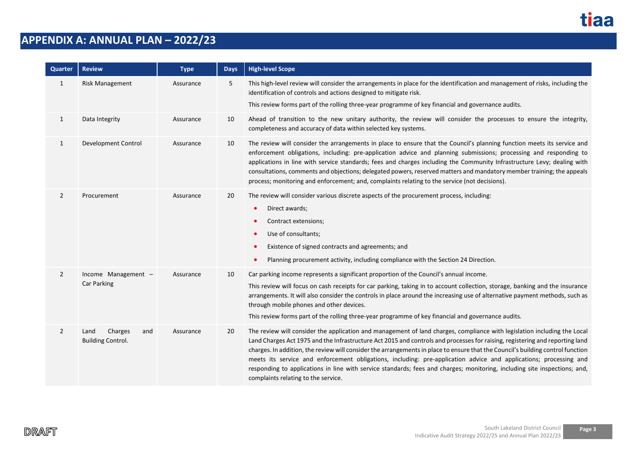

## **APPENDIX A: ANNUAL PLAN – 2022/23**

| Quarter        | <b>Review</b>                                      | <b>Type</b> | <b>Days</b> | <b>High-level Scope</b>                                                                                                                                                                                                                                                                                                                                                                                                                                                                                                                                                                                                                                                              |
|----------------|----------------------------------------------------|-------------|-------------|--------------------------------------------------------------------------------------------------------------------------------------------------------------------------------------------------------------------------------------------------------------------------------------------------------------------------------------------------------------------------------------------------------------------------------------------------------------------------------------------------------------------------------------------------------------------------------------------------------------------------------------------------------------------------------------|
| $\mathbf{1}$   | <b>Risk Management</b>                             | Assurance   | 5           | This high-level review will consider the arrangements in place for the identification and management of risks, including the<br>identification of controls and actions designed to mitigate risk.<br>This review forms part of the rolling three-year programme of key financial and governance audits.                                                                                                                                                                                                                                                                                                                                                                              |
| $\mathbf{1}$   | Data Integrity                                     | Assurance   | 10          | Ahead of transition to the new unitary authority, the review will consider the processes to ensure the integrity,<br>completeness and accuracy of data within selected key systems.                                                                                                                                                                                                                                                                                                                                                                                                                                                                                                  |
| $\mathbf{1}$   | <b>Development Control</b>                         | Assurance   | 10          | The review will consider the arrangements in place to ensure that the Council's planning function meets its service and<br>enforcement obligations, including: pre-application advice and planning submissions; processing and responding to<br>applications in line with service standards; fees and charges including the Community Infrastructure Levy; dealing with<br>consultations, comments and objections; delegated powers, reserved matters and mandatory member training; the appeals<br>process; monitoring and enforcement; and, complaints relating to the service (not decisions).                                                                                    |
| $\overline{2}$ | Procurement                                        | Assurance   | 20          | The review will consider various discrete aspects of the procurement process, including:<br>Direct awards;<br>$\bullet$<br>Contract extensions;<br>Use of consultants;<br>$\bullet$<br>Existence of signed contracts and agreements; and<br>$\bullet$<br>Planning procurement activity, including compliance with the Section 24 Direction.                                                                                                                                                                                                                                                                                                                                          |
| $\overline{2}$ | Income Management -<br>Car Parking                 | Assurance   | 10          | Car parking income represents a significant proportion of the Council's annual income.<br>This review will focus on cash receipts for car parking, taking in to account collection, storage, banking and the insurance<br>arrangements. It will also consider the controls in place around the increasing use of alternative payment methods, such as<br>through mobile phones and other devices.<br>This review forms part of the rolling three-year programme of key financial and governance audits.                                                                                                                                                                              |
| $\overline{2}$ | Charges<br>Land<br>and<br><b>Building Control.</b> | Assurance   | 20          | The review will consider the application and management of land charges, compliance with legislation including the Local<br>Land Charges Act 1975 and the Infrastructure Act 2015 and controls and processes for raising, registering and reporting land<br>charges. In addition, the review will consider the arrangements in place to ensure that the Council's building control function<br>meets its service and enforcement obligations, including: pre-application advice and applications; processing and<br>responding to applications in line with service standards; fees and charges; monitoring, including site inspections; and,<br>complaints relating to the service. |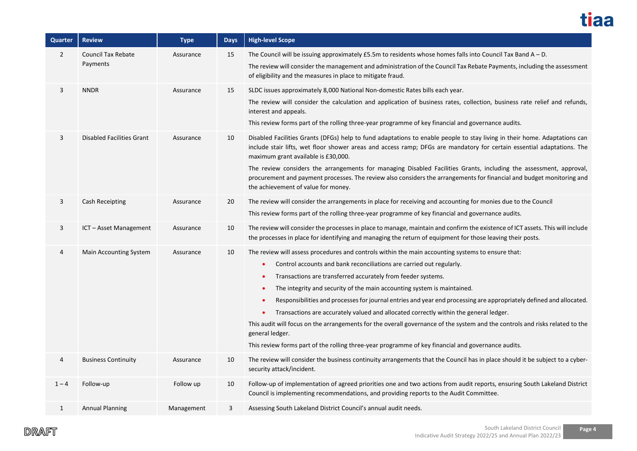

| <b>Quarter</b> | <b>Review</b>                    | <b>Type</b> | <b>Days</b> | <b>High-level Scope</b>                                                                                                                                                                                                                                                                                                                                                                                          |
|----------------|----------------------------------|-------------|-------------|------------------------------------------------------------------------------------------------------------------------------------------------------------------------------------------------------------------------------------------------------------------------------------------------------------------------------------------------------------------------------------------------------------------|
| $\overline{2}$ | <b>Council Tax Rebate</b>        | Assurance   | 15          | The Council will be issuing approximately $£5.5m$ to residents whose homes falls into Council Tax Band $A - D$ .                                                                                                                                                                                                                                                                                                 |
|                | Payments                         |             |             | The review will consider the management and administration of the Council Tax Rebate Payments, including the assessment<br>of eligibility and the measures in place to mitigate fraud.                                                                                                                                                                                                                           |
| 3              | <b>NNDR</b>                      | Assurance   | 15          | SLDC issues approximately 8,000 National Non-domestic Rates bills each year.                                                                                                                                                                                                                                                                                                                                     |
|                |                                  |             |             | The review will consider the calculation and application of business rates, collection, business rate relief and refunds,<br>interest and appeals.                                                                                                                                                                                                                                                               |
|                |                                  |             |             | This review forms part of the rolling three-year programme of key financial and governance audits.                                                                                                                                                                                                                                                                                                               |
| 3              | <b>Disabled Facilities Grant</b> | Assurance   | 10          | Disabled Facilities Grants (DFGs) help to fund adaptations to enable people to stay living in their home. Adaptations can<br>include stair lifts, wet floor shower areas and access ramp; DFGs are mandatory for certain essential adaptations. The<br>maximum grant available is £30,000.<br>The review considers the arrangements for managing Disabled Facilities Grants, including the assessment, approval, |
|                |                                  |             |             | procurement and payment processes. The review also considers the arrangements for financial and budget monitoring and<br>the achievement of value for money.                                                                                                                                                                                                                                                     |
| 3              | Cash Receipting                  | Assurance   | 20          | The review will consider the arrangements in place for receiving and accounting for monies due to the Council                                                                                                                                                                                                                                                                                                    |
|                |                                  |             |             | This review forms part of the rolling three-year programme of key financial and governance audits.                                                                                                                                                                                                                                                                                                               |
| 3              | ICT - Asset Management           | Assurance   | 10          | The review will consider the processes in place to manage, maintain and confirm the existence of ICT assets. This will include<br>the processes in place for identifying and managing the return of equipment for those leaving their posts.                                                                                                                                                                     |
| 4              | Main Accounting System           | Assurance   | 10          | The review will assess procedures and controls within the main accounting systems to ensure that:                                                                                                                                                                                                                                                                                                                |
|                |                                  |             |             | Control accounts and bank reconciliations are carried out regularly.<br>$\bullet$                                                                                                                                                                                                                                                                                                                                |
|                |                                  |             |             | Transactions are transferred accurately from feeder systems.<br>$\bullet$                                                                                                                                                                                                                                                                                                                                        |
|                |                                  |             |             | The integrity and security of the main accounting system is maintained.<br>$\bullet$                                                                                                                                                                                                                                                                                                                             |
|                |                                  |             |             | Responsibilities and processes for journal entries and year end processing are appropriately defined and allocated.<br>$\bullet$                                                                                                                                                                                                                                                                                 |
|                |                                  |             |             | Transactions are accurately valued and allocated correctly within the general ledger.                                                                                                                                                                                                                                                                                                                            |
|                |                                  |             |             | This audit will focus on the arrangements for the overall governance of the system and the controls and risks related to the<br>general ledger.                                                                                                                                                                                                                                                                  |
|                |                                  |             |             | This review forms part of the rolling three-year programme of key financial and governance audits.                                                                                                                                                                                                                                                                                                               |
| 4              | <b>Business Continuity</b>       | Assurance   | 10          | The review will consider the business continuity arrangements that the Council has in place should it be subject to a cyber-<br>security attack/incident.                                                                                                                                                                                                                                                        |
| $1 - 4$        | Follow-up                        | Follow up   | 10          | Follow-up of implementation of agreed priorities one and two actions from audit reports, ensuring South Lakeland District<br>Council is implementing recommendations, and providing reports to the Audit Committee.                                                                                                                                                                                              |
| $\mathbf{1}$   | <b>Annual Planning</b>           | Management  | 3           | Assessing South Lakeland District Council's annual audit needs.                                                                                                                                                                                                                                                                                                                                                  |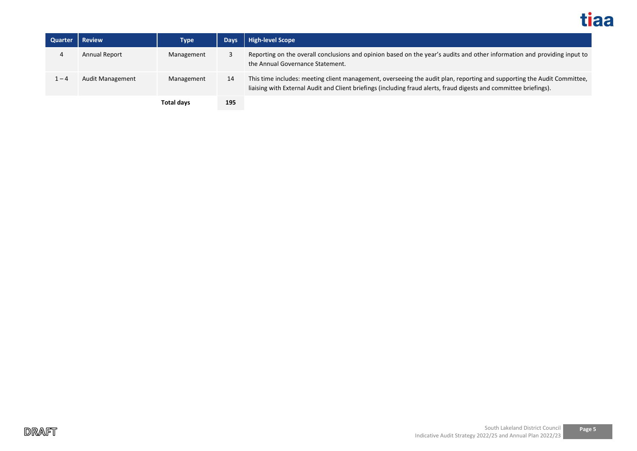

| Quarter | <b>Review</b>           | <b>Type</b> | <b>Days</b> | High-level Scope                                                                                                                                                                                                                              |
|---------|-------------------------|-------------|-------------|-----------------------------------------------------------------------------------------------------------------------------------------------------------------------------------------------------------------------------------------------|
|         | <b>Annual Report</b>    | Management  |             | Reporting on the overall conclusions and opinion based on the year's audits and other information and providing input to<br>the Annual Governance Statement.                                                                                  |
| 1 – 4   | <b>Audit Management</b> | Management  | 14          | This time includes: meeting client management, overseeing the audit plan, reporting and supporting the Audit Committee,<br>liaising with External Audit and Client briefings (including fraud alerts, fraud digests and committee briefings). |
|         |                         | Total days  | 195         |                                                                                                                                                                                                                                               |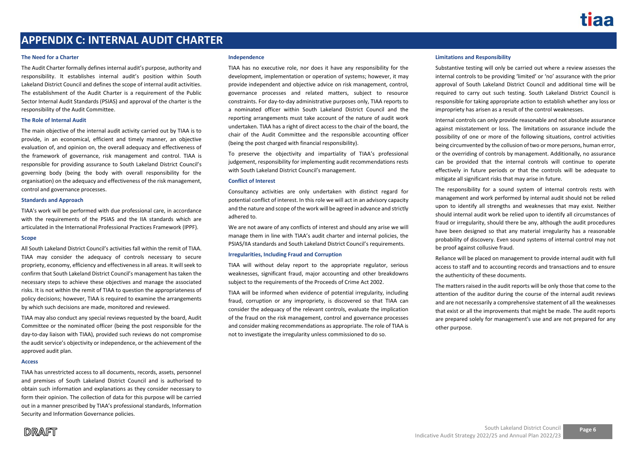## **APPENDIX C: INTERNAL AUDIT CHARTER**

#### **The Need for a Charter**

The Audit Charter formally defines internal audit's purpose, authority and responsibility. It establishes internal audit's position within South Lakeland District Council and defines the scope of internal audit activities. The establishment of the Audit Charter is a requirement of the Public Sector Internal Audit Standards (PSIAS) and approval of the charter is the responsibility of the Audit Committee.

#### **The Role of Internal Audit**

The main objective of the internal audit activity carried out by TIAA is to provide, in an economical, efficient and timely manner, an objective evaluation of, and opinion on, the overall adequacy and effectiveness of the framework of governance, risk management and control. TIAA is responsible for providing assurance to South Lakeland District Council's governing body (being the body with overall responsibility for the organisation) on the adequacy and effectiveness of the risk management, control and governance processes.

#### **Standards and Approach**

TIAA's work will be performed with due professional care, in accordance with the requirements of the PSIAS and the IIA standards which are articulated in the International Professional Practices Framework (IPPF).

#### **Scope**

All South Lakeland District Council's activities fall within the remit of TIAA. TIAA may consider the adequacy of controls necessary to secure propriety, economy, efficiency and effectiveness in all areas. It will seek to confirm that South Lakeland District Council's management has taken the necessary steps to achieve these objectives and manage the associated risks. It is not within the remit of TIAA to question the appropriateness of policy decisions; however, TIAA is required to examine the arrangements by which such decisions are made, monitored and reviewed.

TIAA may also conduct any special reviews requested by the board, Audit Committee or the nominated officer (being the post responsible for the day-to-day liaison with TIAA), provided such reviews do not compromise the audit service's objectivity or independence, or the achievement of the approved audit plan.

#### **Access**

TIAA has unrestricted access to all documents, records, assets, personnel and premises of South Lakeland District Council and is authorised to obtain such information and explanations as they consider necessary to form their opinion. The collection of data for this purpose will be carried out in a manner prescribed by TIAA's professional standards, Information Security and Information Governance policies.

#### **Independence**

TIAA has no executive role, nor does it have any responsibility for the development, implementation or operation of systems; however, it may provide independent and objective advice on risk management, control, governance processes and related matters, subject to resource constraints. For day-to-day administrative purposes only, TIAA reports to a nominated officer within South Lakeland District Council and the reporting arrangements must take account of the nature of audit work undertaken. TIAA has a right of direct access to the chair of the board, the chair of the Audit Committee and the responsible accounting officer (being the post charged with financial responsibility).

To preserve the objectivity and impartiality of TIAA's professional judgement, responsibility for implementing audit recommendations rests with South Lakeland District Council's management.

#### **Conflict of Interest**

Consultancy activities are only undertaken with distinct regard for potential conflict of interest. In this role we will act in an advisory capacity and the nature and scope of the work will be agreed in advance and strictly adhered to.

We are not aware of any conflicts of interest and should any arise we will manage them in line with TIAA's audit charter and internal policies, the PSIAS/IIA standards and South Lakeland District Council's requirements.

#### **Irregularities, Including Fraud and Corruption**

TIAA will without delay report to the appropriate regulator, serious weaknesses, significant fraud, major accounting and other breakdowns subject to the requirements of the Proceeds of Crime Act 2002.

TIAA will be informed when evidence of potential irregularity, including fraud, corruption or any impropriety, is discovered so that TIAA can consider the adequacy of the relevant controls, evaluate the implication of the fraud on the risk management, control and governance processes and consider making recommendations as appropriate. The role of TIAA is not to investigate the irregularity unless commissioned to do so.

#### **Limitations and Responsibility**

Substantive testing will only be carried out where a review assesses the internal controls to be providing 'limited' or 'no' assurance with the prior approval of South Lakeland District Council and additional time will be required to carry out such testing. South Lakeland District Council is responsible for taking appropriate action to establish whether any loss or impropriety has arisen as a result of the control weaknesses.

Internal controls can only provide reasonable and not absolute assurance against misstatement or loss. The limitations on assurance include the possibility of one or more of the following situations, control activities being circumvented by the collusion of two or more persons, human error, or the overriding of controls by management. Additionally, no assurance can be provided that the internal controls will continue to operate effectively in future periods or that the controls will be adequate to mitigate all significant risks that may arise in future.

The responsibility for a sound system of internal controls rests with management and work performed by internal audit should not be relied upon to identify all strengths and weaknesses that may exist. Neither should internal audit work be relied upon to identify all circumstances of fraud or irregularity, should there be any, although the audit procedures have been designed so that any material irregularity has a reasonable probability of discovery. Even sound systems of internal control may not be proof against collusive fraud.

Reliance will be placed on management to provide internal audit with full access to staff and to accounting records and transactions and to ensure the authenticity of these documents.

The matters raised in the audit reports will be only those that come to the attention of the auditor during the course of the internal audit reviews and are not necessarily a comprehensive statement of all the weaknesses that exist or all the improvements that might be made. The audit reports are prepared solely for management's use and are not prepared for any other purpose.